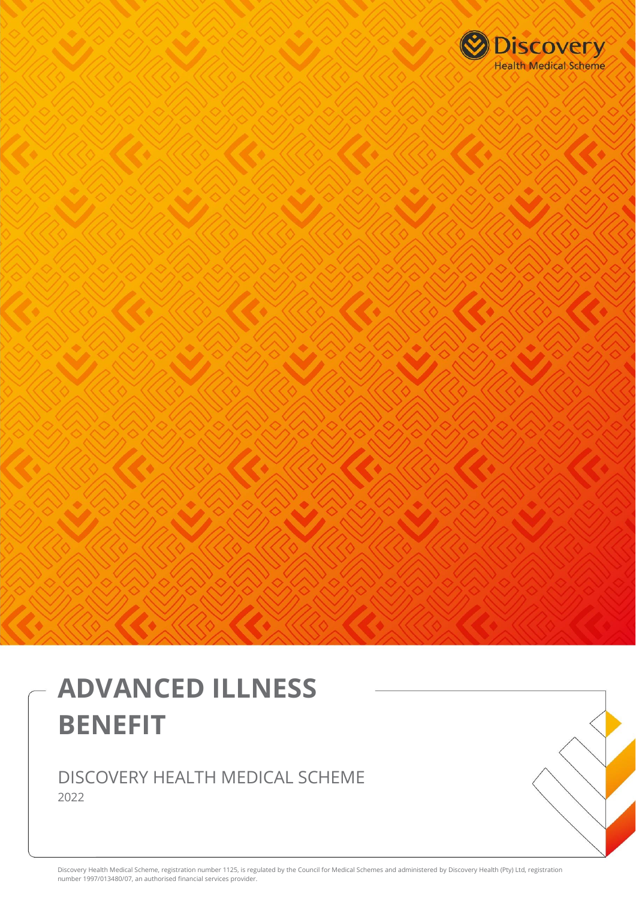

# **ADVANCED ILLNESS BENEFIT**

# DISCOVERY HEALTH MEDICAL SCHEME 2022

Discovery Health Medical Scheme, registration number 1125, is regulated by the Council for Medical Schemes and administered by Discovery Health (Pty) Ltd, registration number 1997/013480/07, an authorised financial services provider.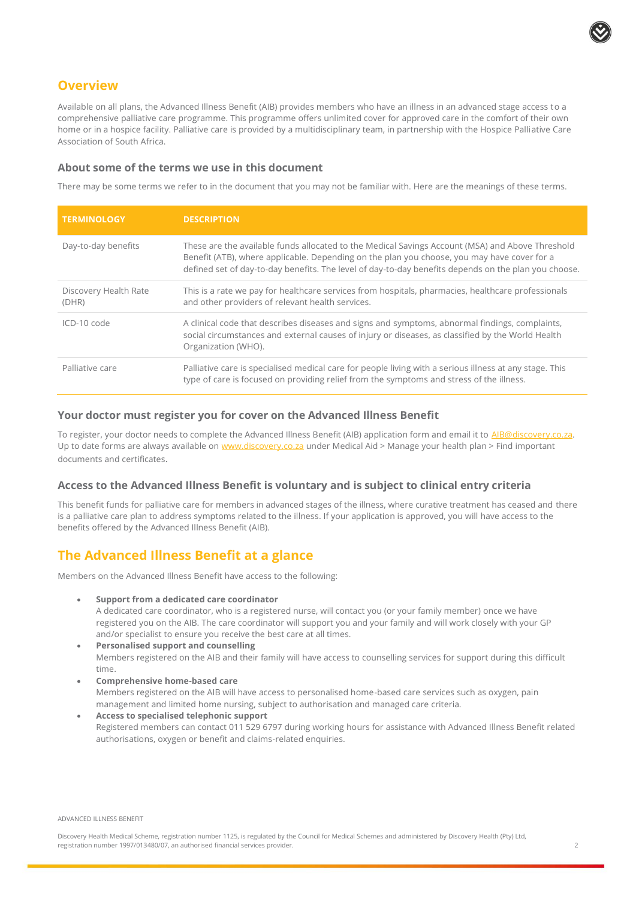

## **Overview**

Available on all plans, the Advanced Illness Benefit (AIB) provides members who have an illness in an advanced stage access to a comprehensive palliative care programme. This programme offers unlimited cover for approved care in the comfort of their own home or in a hospice facility. Palliative care is provided by a multidisciplinary team, in partnership with the Hospice Palliative Care Association of South Africa.

#### **About some of the terms we use in this document**

There may be some terms we refer to in the document that you may not be familiar with. Here are the meanings of these terms.

| <b>TERMINOLOGY</b>             | <b>DESCRIPTION</b>                                                                                                                                                                                                                                                                                      |
|--------------------------------|---------------------------------------------------------------------------------------------------------------------------------------------------------------------------------------------------------------------------------------------------------------------------------------------------------|
| Day-to-day benefits            | These are the available funds allocated to the Medical Savings Account (MSA) and Above Threshold<br>Benefit (ATB), where applicable. Depending on the plan you choose, you may have cover for a<br>defined set of day-to-day benefits. The level of day-to-day benefits depends on the plan you choose. |
| Discovery Health Rate<br>(DHR) | This is a rate we pay for healthcare services from hospitals, pharmacies, healthcare professionals<br>and other providers of relevant health services.                                                                                                                                                  |
| ICD-10 code                    | A clinical code that describes diseases and signs and symptoms, abnormal findings, complaints,<br>social circumstances and external causes of injury or diseases, as classified by the World Health<br>Organization (WHO).                                                                              |
| Palliative care                | Palliative care is specialised medical care for people living with a serious illness at any stage. This<br>type of care is focused on providing relief from the symptoms and stress of the illness.                                                                                                     |

## **Your doctor must register you for cover on the Advanced Illness Benefit**

To register, your doctor needs to complete the Advanced Illness Benefit (AIB) application form and email it to [AIB@discovery.co.za.](file://///dcpcifs02/userdata02/poonam3/AIB.CCB.SCCP/AIB/AIB%20Benefit%20Brochure/Brochures%202020/AIB@discovery.co.za) Up to date forms are always available o[n www.discovery.co.za](http://www.discovery.co.za/) under Medical Aid > Manage your health plan > Find important documents and certificates.

#### **Access to the Advanced Illness Benefit is voluntary and is subject to clinical entry criteria**

This benefit funds for palliative care for members in advanced stages of the illness, where curative treatment has ceased and there is a palliative care plan to address symptoms related to the illness. If your application is approved, you will have access to the benefits offered by the Advanced Illness Benefit (AIB).

## **The Advanced Illness Benefit at a glance**

Members on the Advanced Illness Benefit have access to the following:

• **Support from a dedicated care coordinator** 

A dedicated care coordinator, who is a registered nurse, will contact you (or your family member) once we have registered you on the AIB. The care coordinator will support you and your family and will work closely with your GP and/or specialist to ensure you receive the best care at all times.

- **Personalised support and counselling** Members registered on the AIB and their family will have access to counselling services for support during this difficult time.
- **Comprehensive home-based care**  Members registered on the AIB will have access to personalised home-based care services such as oxygen, pain management and limited home nursing, subject to authorisation and managed care criteria.
- **Access to specialised telephonic support**  Registered members can contact 011 529 6797 during working hours for assistance with Advanced Illness Benefit related authorisations, oxygen or benefit and claims-related enquiries.

ADVANCED ILLNESS BENEFIT

Discovery Health Medical Scheme, registration number 1125, is regulated by the Council for Medical Schemes and administered by Discovery Health (Pty) Ltd, registration number 1997/013480/07, an authorised financial services provider. 2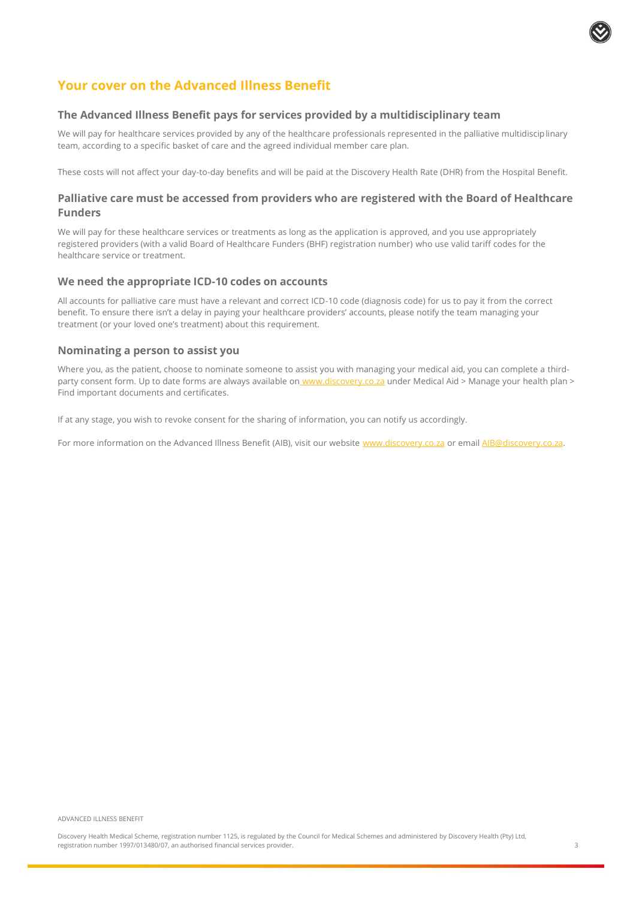

## **Your cover on the Advanced Illness Benefit**

#### **The Advanced Illness Benefit pays for services provided by a multidisciplinary team**

We will pay for healthcare services provided by any of the healthcare professionals represented in the palliative multidisciplinary team, according to a specific basket of care and the agreed individual member care plan.

These costs will not affect your day-to-day benefits and will be paid at the Discovery Health Rate (DHR) from the Hospital Benefit.

## **Palliative care must be accessed from providers who are registered with the Board of Healthcare Funders**

We will pay for these healthcare services or treatments as long as the application is approved, and you use appropriately registered providers (with a valid Board of Healthcare Funders (BHF) registration number) who use valid tariff codes for the healthcare service or treatment.

#### **We need the appropriate ICD-10 codes on accounts**

All accounts for palliative care must have a relevant and correct ICD-10 code (diagnosis code) for us to pay it from the correct benefit. To ensure there isn't a delay in paying your healthcare providers' accounts, please notify the team managing your treatment (or your loved one's treatment) about this requirement.

#### **Nominating a person to assist you**

Where you, as the patient, choose to nominate someone to assist you with managing your medical aid, you can complete a thirdparty consent form. Up to date forms are always available on [www.discovery.co.za](http://www.discovery.co.za/) under Medical Aid > Manage your health plan > Find important documents and certificates.

If at any stage, you wish to revoke consent for the sharing of information, you can notify us accordingly.

For more information on the Advanced Illness Benefit (AIB), visit our website [www.discovery.co.za](http://www.discovery.co.za/) or emai[l AIB@discovery.co.za.](mailto:AIB@discovery.co.za)